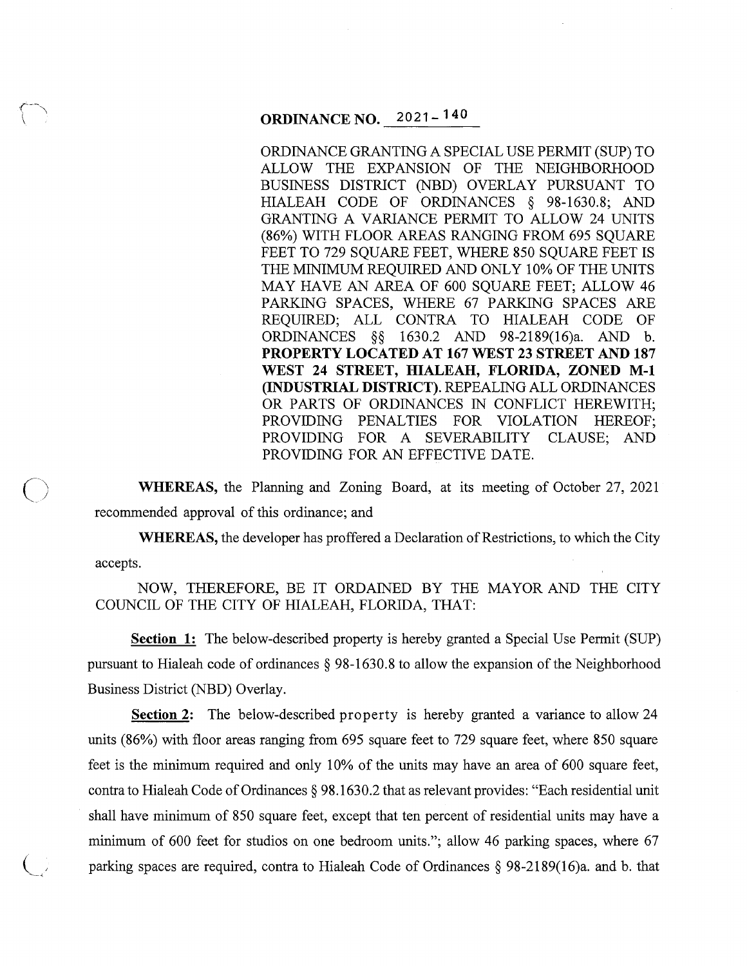# **ORDINANCE NO.** 2021- **14o**

ORDINANCE GRANTING A SPECIAL USE PERMIT (SUP) TO ALLOW THE EXPANSION OF THE NEIGHBORHOOD BUSINESS DISTRICT (NBD) OVERLAY PURSUANT TO HIALEAH CODE OF ORDINANCES § 98-1630.8; AND GRANTING A VARIANCE PERMIT TO ALLOW 24 UNITS (86%) WITH FLOOR AREAS RANGING FROM 695 SQUARE FEET TO 729 SQUARE FEET, WHERE 850 SQUARE FEET IS THE MINIMUM REQUIRED AND ONLY 10% OF THE UNITS MAY HAVE AN AREA OF 600 SQUARE FEET; ALLOW 46 PARKING SPACES, WHERE 67 PARKING SPACES ARE REQUIRED; ALL CONTRA TO HIALEAH CODE OF ORDINANCES §§ 1630.2 AND 98-2189(16)a. AND b. **PROPERTY LOCATED AT 167 WEST 23 STREET AND 187 WEST 24 STREET, HIALEAH, FLORIDA, ZONED M-1 (INDUSTRIAL DISTRICT).** REPEALING ALL ORDINANCES OR PARTS OF ORDINANCES IN CONFLICT HEREWITH; PROVIDING PENALTIES FOR VIOLATION HEREOF; PROVIDING FOR A SEVERABILITY CLAUSE; AND PROVIDING FOR AN EFFECTIVE DATE.

**WHEREAS,** the Planning and Zoning Board, at its meeting of October 27, 2021 recommended approval of this ordinance; and

 $\bigcirc$ 

**WHEREAS,** the developer has proffered a Declaration of Restrictions, to which the City accepts.

NOW, THEREFORE, BE IT ORDAINED BY THE MAYOR AND THE CITY COUNCIL OF THE CITY OF HIALEAH, FLORIDA, THAT:

**Section 1:** The below-described property is hereby granted a Special Use Permit (SUP) pursuant to Hialeah code of ordinances § 98-1630.8 to allow the expansion of the Neighborhood Business District (NBD) Overlay.

**Section 2:** The below-described property is hereby granted a variance to allow 24 units (86%) with floor areas ranging from 695 square feet to 729 square feet, where 850 square feet is the minimum required and only 10% of the units may have an area of 600 square feet, contra to Hialeah Code of Ordinances § 98.1630.2 that as relevant provides: "Each residential unit shall have minimum of 850 square feet, except that ten percent of residential units may have a minimum of 600 feet for studios on one bedroom units."; allow 46 parking spaces, where 67 parking spaces are required, contra to Hialeah Code of Ordinances § 98-2189(16)a. and b. that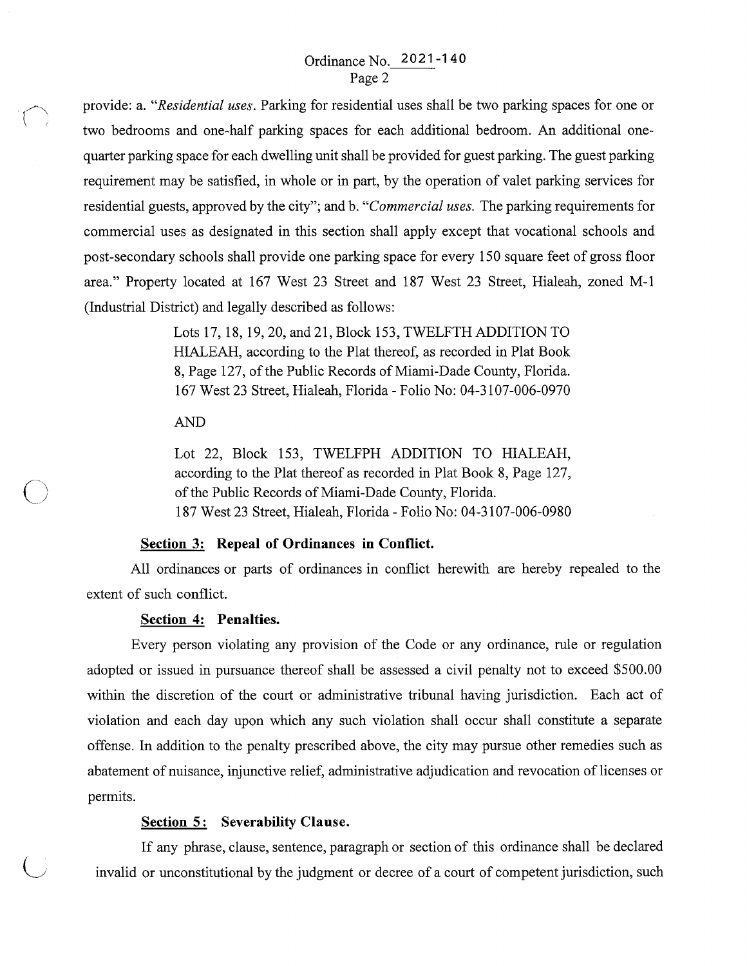provide: a. *"Residential uses.* Parking for residential uses shall be two parking spaces for one or two bedrooms and one-half parking spaces for each additional bedroom. An additional onequarter parking space for each dwelling unit shall be provided for guest parking. The guest parking requirement may be satisfied, in whole or in part, by the operation of valet parking services for residential guests, approved by the city"; and b. *"Commercial uses.* The parking requirements for commercial uses as designated in this section shall apply except that vocational schools and post-secondary schools shall provide one parking space for every 150 square feet of gross floor area." Property located at 167 West 23 Street and 187 West 23 Street, Hialeah, zoned M-1 (Industrial District) and legally described as follows:

> Lots 17, 18, 19, 20, and 21, Block 153, TWELFTH ADDITION TO HIALEAH, according to the Plat thereof, as recorded in Plat Book 8, Page 127, of the Public Records of Miami-Dade County, Florida. 167 West 23 Street, Hialeah, Florida - Folio No: 04-3107-006-0970

#### AND

 $\bigcirc$ 

 $\bigcirc$ 

Lot 22, Block 153, TWELFPH ADDITION TO HIALEAH, according to the Plat thereof as recorded in Plat Book 8, Page 127, of the Public Records of Miami-Dade County, Florida. 187 West 23 Street, Hialeah, Florida - Folio No: 04-3107-006-0980

## **Section 3: Repeal of Ordinances in Conflict.**

All ordinances or parts of ordinances in conflict herewith are hereby repealed to the extent of such conflict.

#### **Section 4: Penalties.**

Every person violating any provision of the Code or any ordinance, rule or regulation adopted or issued in pursuance thereof shall be assessed a civil penalty not to exceed \$500.00 within the discretion of the court or administrative tribunal having jurisdiction. Each act of violation and each day upon which any such violation shall occur shall constitute a separate offense. In addition to the penalty prescribed above, the city may pursue other remedies such as abatement of nuisance, injunctive relief, administrative adjudication and revocation of licenses or permits.

#### **Section 5: Severability Clause.**

If any phrase, clause, sentence, paragraph or section of this ordinance shall be declared invalid or unconstitutional by the judgment or decree of a court of competent jurisdiction, such